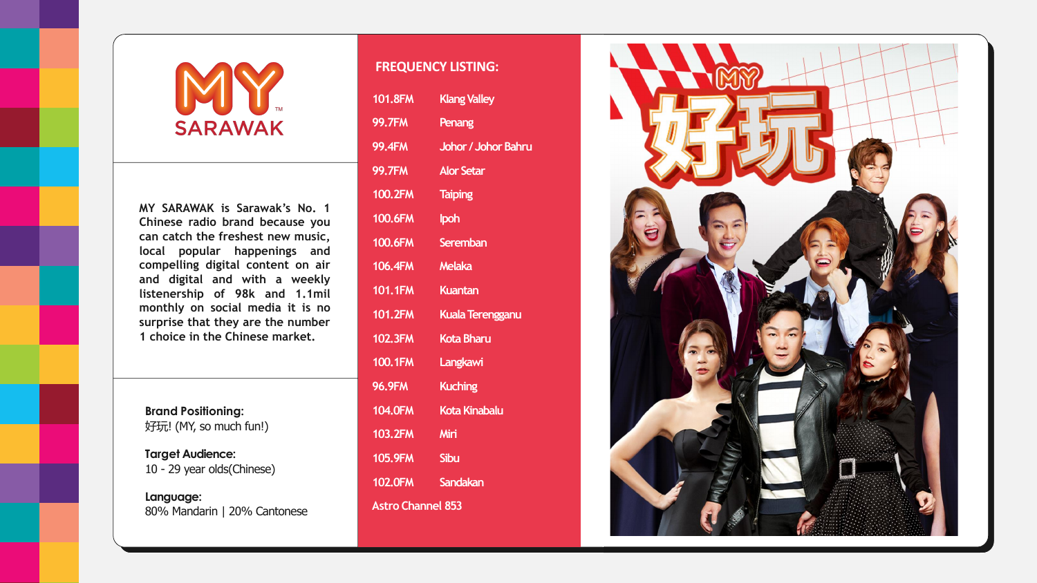## SARAWAK

**MY SARAWAK is Sarawak's No. 1 Chinese radio brand because you can catch the freshest new music, local popular happenings and compelling digital content on air and digital and with a weekly listenership of 98k and 1.1mil monthly on social media it is no surprise that they are the number 1 choice in the Chinese market.**

**Brand Positioning:** 好玩! (MY, so much fun!)

**Target Audience:** 10 - 29 year olds(Chinese)

**Language:** 80% Mandarin | 20% Cantonese

## **FREQUENCY LISTING:**

| <b>101.8FM</b>           | <b>Klang Valley</b>        |
|--------------------------|----------------------------|
| <b>99.7FM</b>            | Penang                     |
| <b>99.4FM</b>            | <b>Johor / Johor Bahru</b> |
| <b>99.7FM</b>            | <b>Alor Setar</b>          |
| <b>100.2FM</b>           | <b>Taiping</b>             |
| <b>100.6FM</b>           | <b>lpoh</b>                |
| <b>100.6FM</b>           | <b>Seremban</b>            |
| <b>106.4FM</b>           | <b>Melaka</b>              |
| <b>101.1FM</b>           | Kuantan                    |
| <b>101.2FM</b>           | <b>Kuala Terengganu</b>    |
| <b>102.3FM</b>           | <b>Kota Bharu</b>          |
| <b>100.1FM</b>           | <b>Langkawi</b>            |
| <b>96.9FM</b>            | <b>Kuching</b>             |
| <b>104.0FM</b>           | <b>Kota Kinabalu</b>       |
| 103.2FM                  | Miri                       |
| <b>105.9FM</b>           | <b>Sibu</b>                |
| <b>102.0FM</b>           | <b>Sandakan</b>            |
| <b>Astro Channel 853</b> |                            |

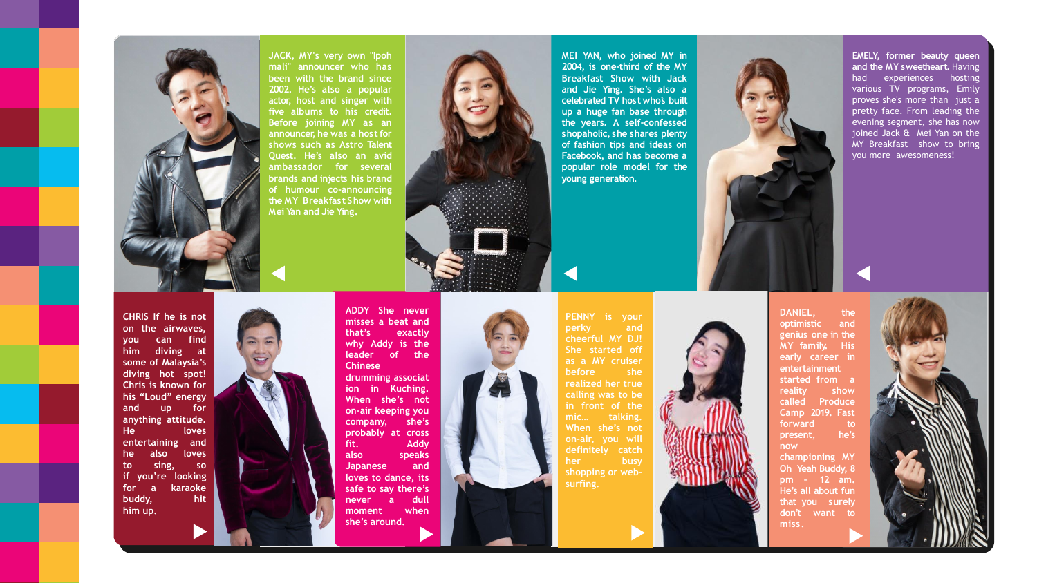**EMELY, former beauty queen and the MY sweetheart.** Having had experiences hosting various TV programs, Emily proves she's more than just a pretty face . From leading the evening segment, she has now joined Jack & Mei Yan on the MY Breakfast show to bring you more awesomeness!

**of humour co -announcing the MY** Breakfast Show with

**2002 . He's also a popular**

**five albums to his credit .**

**JACK, MY's very own "Ipoh mali" announcer who has been with the brand since actor, host and singer with Before joining MY as an announcer, he was a hostfor shows such as Astro Talent ambassador for several brands and injects his brand**

**Quest . He's also an avid**

**Mei Ya n a n d J i e Yi n g .**

**MEI YAN, who joined MY in 2004 , is one -third of the MY Breakfast Show with Jack and Jie Ying . She's also a** celebrated TV host whos built **up a huge fan base through the years . A self -confessed** shopaholic, she shares plenty **of fashion tips and ideas on Facebook, and has become a popular role model for the young generation.**



**ADDY She never misses a beat and that's exactly why Addy is the leader of the Chinese drumming associat ion in Kuching . When she's not on -air keeping you company, she's probably at cross fit . Addy also speaks Japanese and loves to dance, its safe to say there's never a dull moment when she's around .**

**PENNY is your perky and cheerful MY DJ! She started off as a MY cruiser before she realized her true calling was to be in front of the mic … talking . When she's not on -air, you will definitely catch her busy shopping or web -**



**surfing .**

**DANIEL, the optimistic and genius one in the MY family. His early career in entertainment started from a reality show called Produce Camp 2019 . Fast forward to present, he's now championing MY Oh Yeah Buddy, 8 pm – 12 am . He's all about fun**

that you surely don't want to

**m i s s .**







**CHRIS If he is not on the airwaves, you can find him diving at some of Malaysia's diving hot spot! Chris is known for his "Loud" energy and up for anything attitude . He loves entertaining and he also loves to sing, so if you're looking for a karaoke buddy, hit him up .**